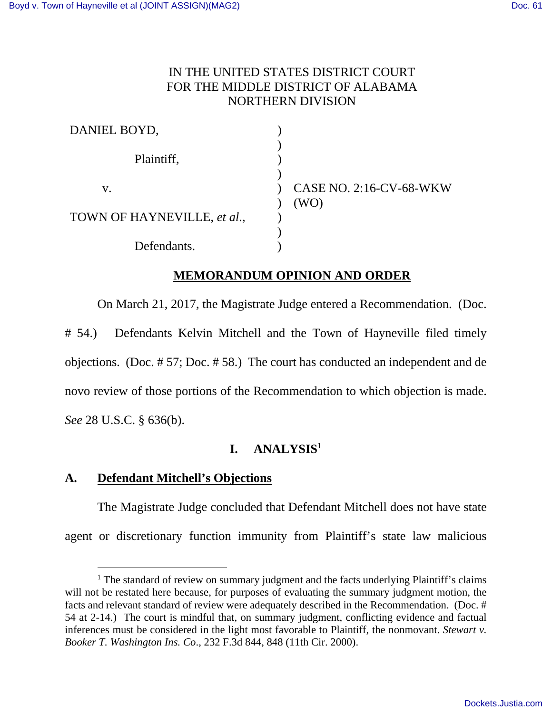## IN THE UNITED STATES DISTRICT COURT FOR THE MIDDLE DISTRICT OF ALABAMA NORTHERN DIVISION

| DANIEL BOYD,                |                                        |
|-----------------------------|----------------------------------------|
| Plaintiff,                  |                                        |
| V.                          | <b>CASE NO. 2:16-CV-68-WKW</b><br>(WO) |
| TOWN OF HAYNEVILLE, et al., |                                        |
| Defendants.                 |                                        |

## **MEMORANDUM OPINION AND ORDER**

On March 21, 2017, the Magistrate Judge entered a Recommendation. (Doc.

# 54.) Defendants Kelvin Mitchell and the Town of Hayneville filed timely objections. (Doc. # 57; Doc. # 58.) The court has conducted an independent and de novo review of those portions of the Recommendation to which objection is made. *See* 28 U.S.C. § 636(b).

# **I. ANALYSIS<sup>1</sup>**

## **A. Defendant Mitchell's Objections**

 The Magistrate Judge concluded that Defendant Mitchell does not have state agent or discretionary function immunity from Plaintiff's state law malicious

 $\overline{a}$ <sup>1</sup> The standard of review on summary judgment and the facts underlying Plaintiff's claims will not be restated here because, for purposes of evaluating the summary judgment motion, the facts and relevant standard of review were adequately described in the Recommendation. (Doc. # 54 at 2-14.) The court is mindful that, on summary judgment, conflicting evidence and factual inferences must be considered in the light most favorable to Plaintiff, the nonmovant. *Stewart v. Booker T. Washington Ins. Co*., 232 F.3d 844, 848 (11th Cir. 2000).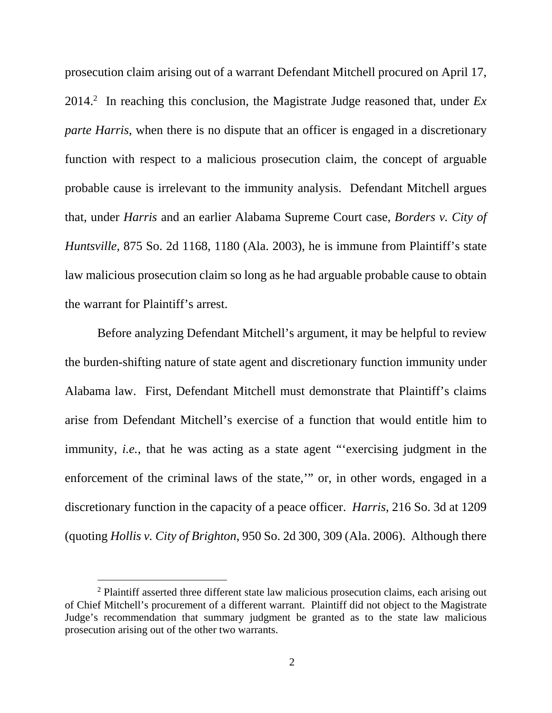prosecution claim arising out of a warrant Defendant Mitchell procured on April 17,  $2014<sup>2</sup>$  In reaching this conclusion, the Magistrate Judge reasoned that, under  $Ex$ *parte Harris*, when there is no dispute that an officer is engaged in a discretionary function with respect to a malicious prosecution claim, the concept of arguable probable cause is irrelevant to the immunity analysis. Defendant Mitchell argues that, under *Harris* and an earlier Alabama Supreme Court case, *Borders v. City of Huntsville*, 875 So. 2d 1168, 1180 (Ala. 2003), he is immune from Plaintiff's state law malicious prosecution claim so long as he had arguable probable cause to obtain the warrant for Plaintiff's arrest.

 Before analyzing Defendant Mitchell's argument, it may be helpful to review the burden-shifting nature of state agent and discretionary function immunity under Alabama law. First, Defendant Mitchell must demonstrate that Plaintiff's claims arise from Defendant Mitchell's exercise of a function that would entitle him to immunity, *i.e.*, that he was acting as a state agent "exercising judgment in the enforcement of the criminal laws of the state,'" or, in other words, engaged in a discretionary function in the capacity of a peace officer. *Harris*, 216 So. 3d at 1209 (quoting *Hollis v. City of Brighton*, 950 So. 2d 300, 309 (Ala. 2006). Although there

<sup>&</sup>lt;sup>2</sup> Plaintiff asserted three different state law malicious prosecution claims, each arising out of Chief Mitchell's procurement of a different warrant. Plaintiff did not object to the Magistrate Judge's recommendation that summary judgment be granted as to the state law malicious prosecution arising out of the other two warrants.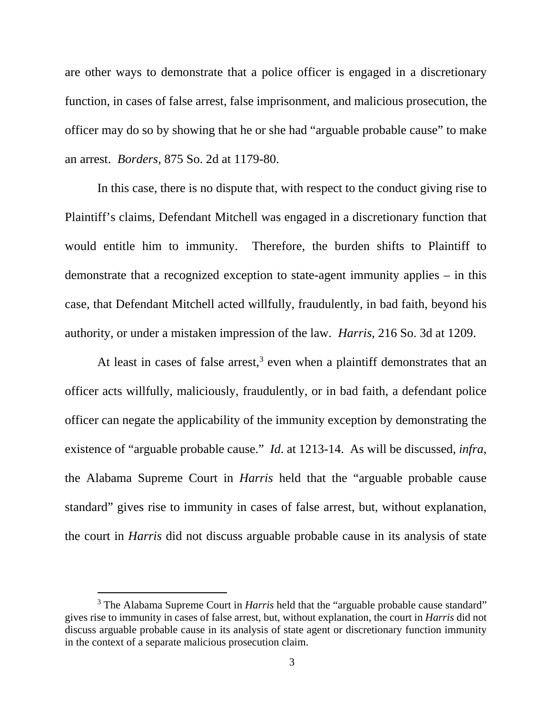are other ways to demonstrate that a police officer is engaged in a discretionary function, in cases of false arrest, false imprisonment, and malicious prosecution, the officer may do so by showing that he or she had "arguable probable cause" to make an arrest. *Borders*, 875 So. 2d at 1179-80.

 In this case, there is no dispute that, with respect to the conduct giving rise to Plaintiff's claims, Defendant Mitchell was engaged in a discretionary function that would entitle him to immunity. Therefore, the burden shifts to Plaintiff to demonstrate that a recognized exception to state-agent immunity applies – in this case, that Defendant Mitchell acted willfully, fraudulently, in bad faith, beyond his authority, or under a mistaken impression of the law. *Harris*, 216 So. 3d at 1209.

At least in cases of false arrest,<sup>3</sup> even when a plaintiff demonstrates that an officer acts willfully, maliciously, fraudulently, or in bad faith, a defendant police officer can negate the applicability of the immunity exception by demonstrating the existence of "arguable probable cause." *Id*. at 1213-14. As will be discussed, *infra*, the Alabama Supreme Court in *Harris* held that the "arguable probable cause standard" gives rise to immunity in cases of false arrest, but, without explanation, the court in *Harris* did not discuss arguable probable cause in its analysis of state

<sup>&</sup>lt;sup>3</sup> The Alabama Supreme Court in *Harris* held that the "arguable probable cause standard" gives rise to immunity in cases of false arrest, but, without explanation, the court in *Harris* did not discuss arguable probable cause in its analysis of state agent or discretionary function immunity in the context of a separate malicious prosecution claim.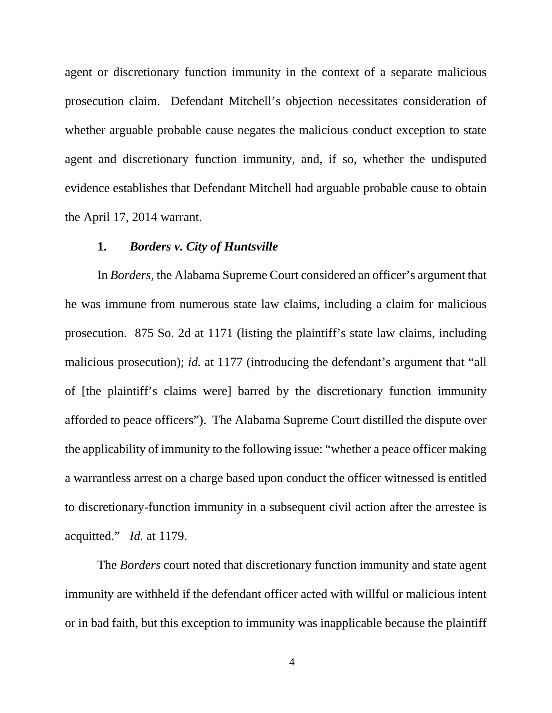agent or discretionary function immunity in the context of a separate malicious prosecution claim. Defendant Mitchell's objection necessitates consideration of whether arguable probable cause negates the malicious conduct exception to state agent and discretionary function immunity, and, if so, whether the undisputed evidence establishes that Defendant Mitchell had arguable probable cause to obtain the April 17, 2014 warrant.

#### **1.** *Borders v. City of Huntsville*

 In *Borders*, the Alabama Supreme Court considered an officer's argument that he was immune from numerous state law claims, including a claim for malicious prosecution. 875 So. 2d at 1171 (listing the plaintiff's state law claims, including malicious prosecution); *id.* at 1177 (introducing the defendant's argument that "all of [the plaintiff's claims were] barred by the discretionary function immunity afforded to peace officers"). The Alabama Supreme Court distilled the dispute over the applicability of immunity to the following issue: "whether a peace officer making a warrantless arrest on a charge based upon conduct the officer witnessed is entitled to discretionary-function immunity in a subsequent civil action after the arrestee is acquitted." *Id.* at 1179.

 The *Borders* court noted that discretionary function immunity and state agent immunity are withheld if the defendant officer acted with willful or malicious intent or in bad faith, but this exception to immunity was inapplicable because the plaintiff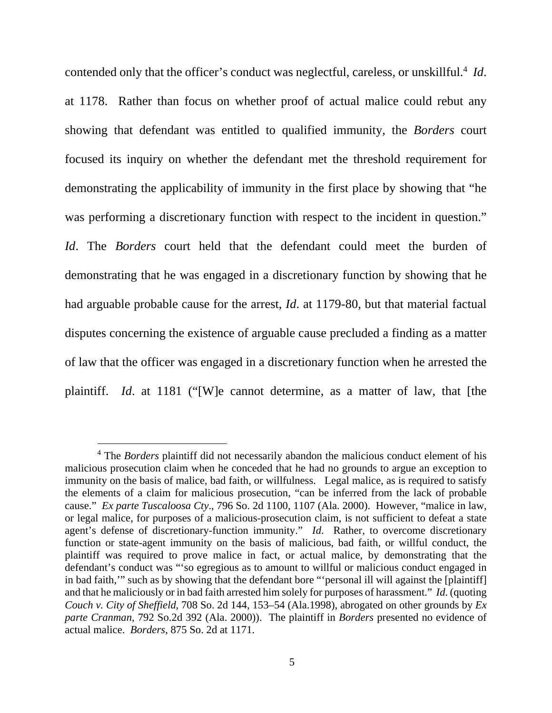contended only that the officer's conduct was neglectful, careless, or unskillful.<sup>4</sup> *Id*. at 1178. Rather than focus on whether proof of actual malice could rebut any showing that defendant was entitled to qualified immunity, the *Borders* court focused its inquiry on whether the defendant met the threshold requirement for demonstrating the applicability of immunity in the first place by showing that "he was performing a discretionary function with respect to the incident in question." *Id*. The *Borders* court held that the defendant could meet the burden of demonstrating that he was engaged in a discretionary function by showing that he had arguable probable cause for the arrest, *Id*. at 1179-80, but that material factual disputes concerning the existence of arguable cause precluded a finding as a matter of law that the officer was engaged in a discretionary function when he arrested the plaintiff. *Id*. at 1181 ("[W]e cannot determine, as a matter of law, that [the

<sup>4</sup> The *Borders* plaintiff did not necessarily abandon the malicious conduct element of his malicious prosecution claim when he conceded that he had no grounds to argue an exception to immunity on the basis of malice, bad faith, or willfulness. Legal malice, as is required to satisfy the elements of a claim for malicious prosecution, "can be inferred from the lack of probable cause." *Ex parte Tuscaloosa Cty*., 796 So. 2d 1100, 1107 (Ala. 2000). However, "malice in law, or legal malice, for purposes of a malicious-prosecution claim, is not sufficient to defeat a state agent's defense of discretionary-function immunity." *Id*. Rather, to overcome discretionary function or state-agent immunity on the basis of malicious, bad faith, or willful conduct, the plaintiff was required to prove malice in fact, or actual malice, by demonstrating that the defendant's conduct was "'so egregious as to amount to willful or malicious conduct engaged in in bad faith,'" such as by showing that the defendant bore "'personal ill will against the [plaintiff] and that he maliciously or in bad faith arrested him solely for purposes of harassment." *Id*. (quoting *Couch v. City of Sheffield*, 708 So. 2d 144, 153–54 (Ala.1998), abrogated on other grounds by *Ex parte Cranman*, 792 So.2d 392 (Ala. 2000)). The plaintiff in *Borders* presented no evidence of actual malice. *Borders*, 875 So. 2d at 1171.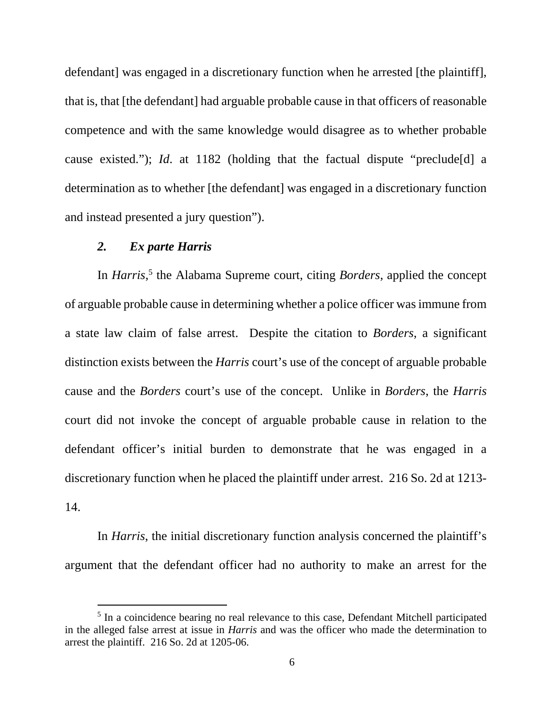defendant] was engaged in a discretionary function when he arrested [the plaintiff], that is, that [the defendant] had arguable probable cause in that officers of reasonable competence and with the same knowledge would disagree as to whether probable cause existed."); *Id*. at 1182 (holding that the factual dispute "preclude[d] a determination as to whether [the defendant] was engaged in a discretionary function and instead presented a jury question").

#### *2. Ex parte Harris*

 $\overline{a}$ 

In *Harris*<sup>5</sup>, the Alabama Supreme court, citing *Borders*, applied the concept of arguable probable cause in determining whether a police officer was immune from a state law claim of false arrest. Despite the citation to *Borders*, a significant distinction exists between the *Harris* court's use of the concept of arguable probable cause and the *Borders* court's use of the concept. Unlike in *Borders*, the *Harris* court did not invoke the concept of arguable probable cause in relation to the defendant officer's initial burden to demonstrate that he was engaged in a discretionary function when he placed the plaintiff under arrest. 216 So. 2d at 1213- 14.

 In *Harris*, the initial discretionary function analysis concerned the plaintiff's argument that the defendant officer had no authority to make an arrest for the

<sup>&</sup>lt;sup>5</sup> In a coincidence bearing no real relevance to this case, Defendant Mitchell participated in the alleged false arrest at issue in *Harris* and was the officer who made the determination to arrest the plaintiff. 216 So. 2d at 1205-06.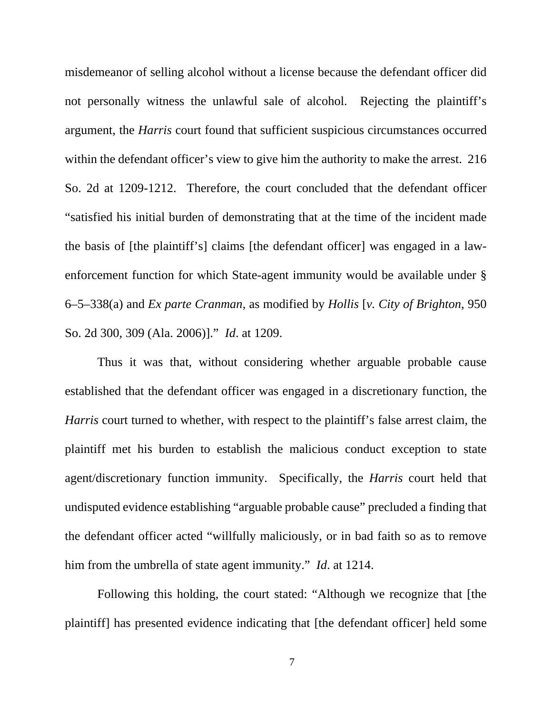misdemeanor of selling alcohol without a license because the defendant officer did not personally witness the unlawful sale of alcohol. Rejecting the plaintiff's argument, the *Harris* court found that sufficient suspicious circumstances occurred within the defendant officer's view to give him the authority to make the arrest. 216 So. 2d at 1209-1212. Therefore, the court concluded that the defendant officer "satisfied his initial burden of demonstrating that at the time of the incident made the basis of [the plaintiff's] claims [the defendant officer] was engaged in a lawenforcement function for which State-agent immunity would be available under § 6–5–338(a) and *Ex parte Cranman*, as modified by *Hollis* [*v. City of Brighton*, 950 So. 2d 300, 309 (Ala. 2006)]." *Id*. at 1209.

 Thus it was that, without considering whether arguable probable cause established that the defendant officer was engaged in a discretionary function, the *Harris* court turned to whether, with respect to the plaintiff's false arrest claim, the plaintiff met his burden to establish the malicious conduct exception to state agent/discretionary function immunity. Specifically, the *Harris* court held that undisputed evidence establishing "arguable probable cause" precluded a finding that the defendant officer acted "willfully maliciously, or in bad faith so as to remove him from the umbrella of state agent immunity." *Id*. at 1214.

 Following this holding, the court stated: "Although we recognize that [the plaintiff] has presented evidence indicating that [the defendant officer] held some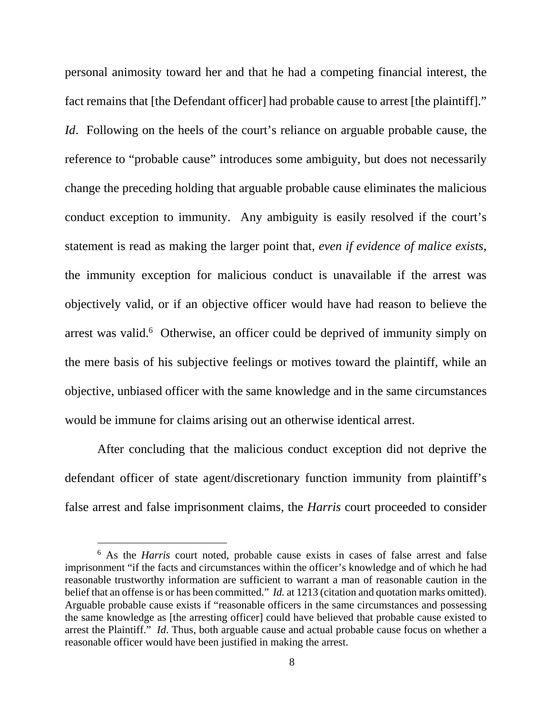personal animosity toward her and that he had a competing financial interest, the fact remains that [the Defendant officer] had probable cause to arrest [the plaintiff]." *Id.* Following on the heels of the court's reliance on arguable probable cause, the reference to "probable cause" introduces some ambiguity, but does not necessarily change the preceding holding that arguable probable cause eliminates the malicious conduct exception to immunity. Any ambiguity is easily resolved if the court's statement is read as making the larger point that, *even if evidence of malice exists*, the immunity exception for malicious conduct is unavailable if the arrest was objectively valid, or if an objective officer would have had reason to believe the arrest was valid.<sup>6</sup> Otherwise, an officer could be deprived of immunity simply on the mere basis of his subjective feelings or motives toward the plaintiff, while an objective, unbiased officer with the same knowledge and in the same circumstances would be immune for claims arising out an otherwise identical arrest.

 After concluding that the malicious conduct exception did not deprive the defendant officer of state agent/discretionary function immunity from plaintiff's false arrest and false imprisonment claims, the *Harris* court proceeded to consider

<sup>&</sup>lt;sup>6</sup> As the *Harris* court noted, probable cause exists in cases of false arrest and false imprisonment "if the facts and circumstances within the officer's knowledge and of which he had reasonable trustworthy information are sufficient to warrant a man of reasonable caution in the belief that an offense is or has been committed." *Id.* at 1213 (citation and quotation marks omitted). Arguable probable cause exists if "reasonable officers in the same circumstances and possessing the same knowledge as [the arresting officer] could have believed that probable cause existed to arrest the Plaintiff." *Id*. Thus, both arguable cause and actual probable cause focus on whether a reasonable officer would have been justified in making the arrest.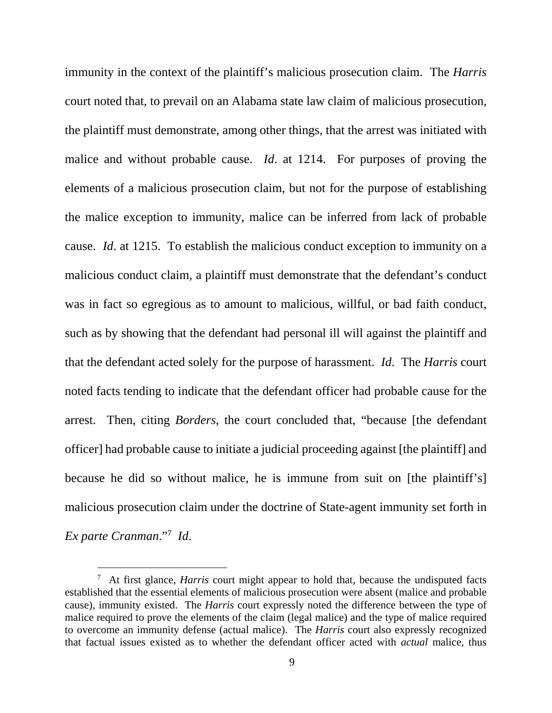immunity in the context of the plaintiff's malicious prosecution claim. The *Harris* court noted that, to prevail on an Alabama state law claim of malicious prosecution, the plaintiff must demonstrate, among other things, that the arrest was initiated with malice and without probable cause. *Id*. at 1214. For purposes of proving the elements of a malicious prosecution claim, but not for the purpose of establishing the malice exception to immunity, malice can be inferred from lack of probable cause. *Id*. at 1215. To establish the malicious conduct exception to immunity on a malicious conduct claim, a plaintiff must demonstrate that the defendant's conduct was in fact so egregious as to amount to malicious, willful, or bad faith conduct, such as by showing that the defendant had personal ill will against the plaintiff and that the defendant acted solely for the purpose of harassment. *Id*. The *Harris* court noted facts tending to indicate that the defendant officer had probable cause for the arrest. Then, citing *Borders*, the court concluded that, "because [the defendant officer] had probable cause to initiate a judicial proceeding against [the plaintiff] and because he did so without malice, he is immune from suit on [the plaintiff's] malicious prosecution claim under the doctrine of State-agent immunity set forth in *Ex parte Cranman*."<sup>7</sup> *Id*.

<sup>7</sup> At first glance, *Harris* court might appear to hold that, because the undisputed facts established that the essential elements of malicious prosecution were absent (malice and probable cause), immunity existed. The *Harris* court expressly noted the difference between the type of malice required to prove the elements of the claim (legal malice) and the type of malice required to overcome an immunity defense (actual malice). The *Harris* court also expressly recognized that factual issues existed as to whether the defendant officer acted with *actual* malice, thus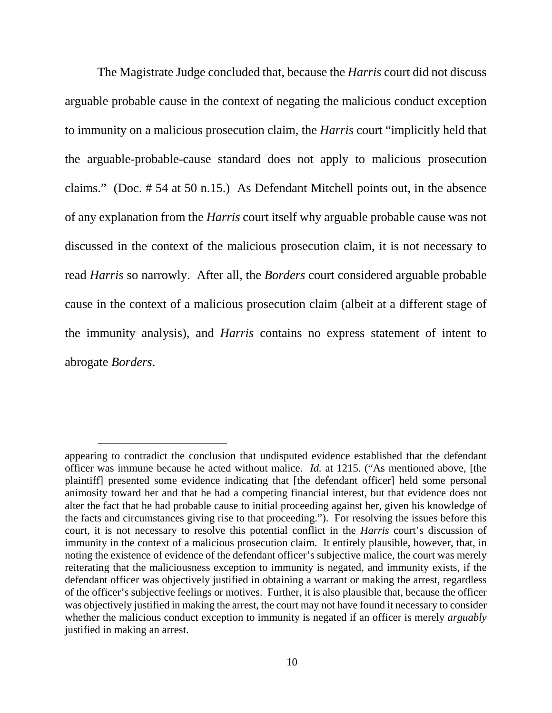The Magistrate Judge concluded that, because the *Harris* court did not discuss arguable probable cause in the context of negating the malicious conduct exception to immunity on a malicious prosecution claim, the *Harris* court "implicitly held that the arguable-probable-cause standard does not apply to malicious prosecution claims." (Doc. # 54 at 50 n.15.) As Defendant Mitchell points out, in the absence of any explanation from the *Harris* court itself why arguable probable cause was not discussed in the context of the malicious prosecution claim, it is not necessary to read *Harris* so narrowly. After all, the *Borders* court considered arguable probable cause in the context of a malicious prosecution claim (albeit at a different stage of the immunity analysis), and *Harris* contains no express statement of intent to abrogate *Borders*.

appearing to contradict the conclusion that undisputed evidence established that the defendant officer was immune because he acted without malice. *Id.* at 1215. ("As mentioned above, [the plaintiff] presented some evidence indicating that [the defendant officer] held some personal animosity toward her and that he had a competing financial interest, but that evidence does not alter the fact that he had probable cause to initial proceeding against her, given his knowledge of the facts and circumstances giving rise to that proceeding."). For resolving the issues before this court, it is not necessary to resolve this potential conflict in the *Harris* court's discussion of immunity in the context of a malicious prosecution claim. It entirely plausible, however, that, in noting the existence of evidence of the defendant officer's subjective malice, the court was merely reiterating that the maliciousness exception to immunity is negated, and immunity exists, if the defendant officer was objectively justified in obtaining a warrant or making the arrest, regardless of the officer's subjective feelings or motives. Further, it is also plausible that, because the officer was objectively justified in making the arrest, the court may not have found it necessary to consider whether the malicious conduct exception to immunity is negated if an officer is merely *arguably*  justified in making an arrest.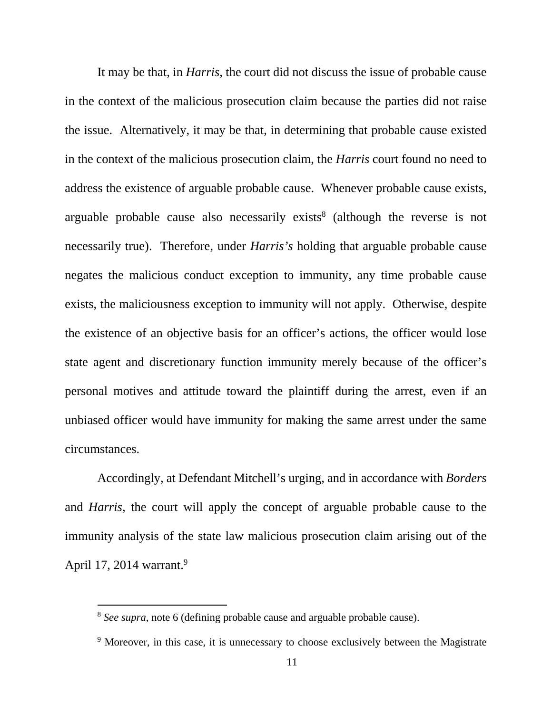It may be that, in *Harris*, the court did not discuss the issue of probable cause in the context of the malicious prosecution claim because the parties did not raise the issue. Alternatively, it may be that, in determining that probable cause existed in the context of the malicious prosecution claim, the *Harris* court found no need to address the existence of arguable probable cause. Whenever probable cause exists, arguable probable cause also necessarily exists<sup>8</sup> (although the reverse is not necessarily true). Therefore, under *Harris's* holding that arguable probable cause negates the malicious conduct exception to immunity, any time probable cause exists, the maliciousness exception to immunity will not apply. Otherwise, despite the existence of an objective basis for an officer's actions, the officer would lose state agent and discretionary function immunity merely because of the officer's personal motives and attitude toward the plaintiff during the arrest, even if an unbiased officer would have immunity for making the same arrest under the same circumstances.

 Accordingly, at Defendant Mitchell's urging, and in accordance with *Borders* and *Harris*, the court will apply the concept of arguable probable cause to the immunity analysis of the state law malicious prosecution claim arising out of the April 17, 2014 warrant.<sup>9</sup>

<sup>8</sup> *See supra*, note 6 (defining probable cause and arguable probable cause).

<sup>&</sup>lt;sup>9</sup> Moreover, in this case, it is unnecessary to choose exclusively between the Magistrate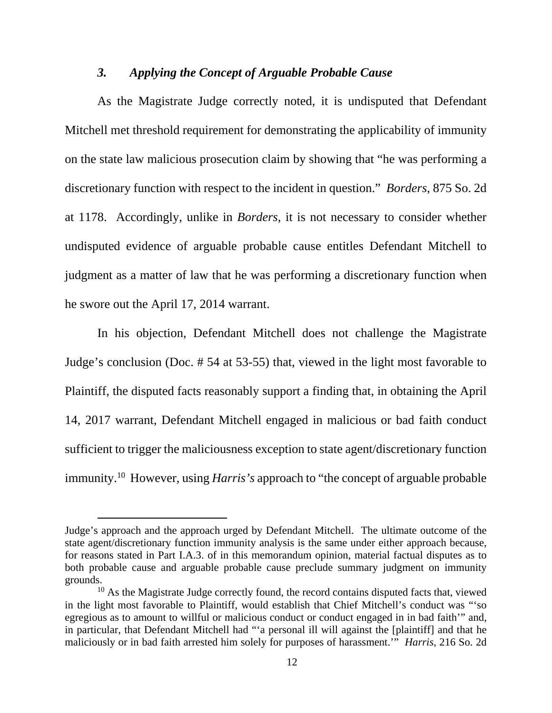#### *3. Applying the Concept of Arguable Probable Cause*

 As the Magistrate Judge correctly noted, it is undisputed that Defendant Mitchell met threshold requirement for demonstrating the applicability of immunity on the state law malicious prosecution claim by showing that "he was performing a discretionary function with respect to the incident in question." *Borders*, 875 So. 2d at 1178. Accordingly, unlike in *Borders*, it is not necessary to consider whether undisputed evidence of arguable probable cause entitles Defendant Mitchell to judgment as a matter of law that he was performing a discretionary function when he swore out the April 17, 2014 warrant.

 In his objection, Defendant Mitchell does not challenge the Magistrate Judge's conclusion (Doc. # 54 at 53-55) that, viewed in the light most favorable to Plaintiff, the disputed facts reasonably support a finding that, in obtaining the April 14, 2017 warrant, Defendant Mitchell engaged in malicious or bad faith conduct sufficient to trigger the maliciousness exception to state agent/discretionary function immunity.<sup>10</sup> However, using *Harris's* approach to "the concept of arguable probable

Judge's approach and the approach urged by Defendant Mitchell. The ultimate outcome of the state agent/discretionary function immunity analysis is the same under either approach because, for reasons stated in Part I.A.3. of in this memorandum opinion, material factual disputes as to both probable cause and arguable probable cause preclude summary judgment on immunity grounds.

 $10$  As the Magistrate Judge correctly found, the record contains disputed facts that, viewed in the light most favorable to Plaintiff, would establish that Chief Mitchell's conduct was "'so egregious as to amount to willful or malicious conduct or conduct engaged in in bad faith'" and, in particular, that Defendant Mitchell had "'a personal ill will against the [plaintiff] and that he maliciously or in bad faith arrested him solely for purposes of harassment.'" *Harris*, 216 So. 2d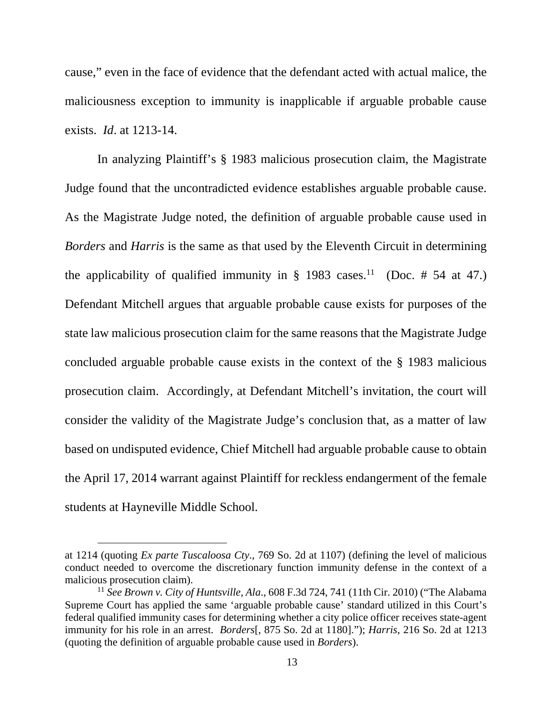cause," even in the face of evidence that the defendant acted with actual malice, the maliciousness exception to immunity is inapplicable if arguable probable cause exists. *Id*. at 1213-14.

 In analyzing Plaintiff's § 1983 malicious prosecution claim, the Magistrate Judge found that the uncontradicted evidence establishes arguable probable cause. As the Magistrate Judge noted, the definition of arguable probable cause used in *Borders* and *Harris* is the same as that used by the Eleventh Circuit in determining the applicability of qualified immunity in  $\S$  1983 cases.<sup>11</sup> (Doc. # 54 at 47.) Defendant Mitchell argues that arguable probable cause exists for purposes of the state law malicious prosecution claim for the same reasons that the Magistrate Judge concluded arguable probable cause exists in the context of the § 1983 malicious prosecution claim. Accordingly, at Defendant Mitchell's invitation, the court will consider the validity of the Magistrate Judge's conclusion that, as a matter of law based on undisputed evidence, Chief Mitchell had arguable probable cause to obtain the April 17, 2014 warrant against Plaintiff for reckless endangerment of the female students at Hayneville Middle School.

at 1214 (quoting *Ex parte Tuscaloosa Cty*., 769 So. 2d at 1107) (defining the level of malicious conduct needed to overcome the discretionary function immunity defense in the context of a malicious prosecution claim).

<sup>11</sup> *See Brown v. City of Huntsville, Ala*., 608 F.3d 724, 741 (11th Cir. 2010) ("The Alabama Supreme Court has applied the same 'arguable probable cause' standard utilized in this Court's federal qualified immunity cases for determining whether a city police officer receives state-agent immunity for his role in an arrest. *Borders*[, 875 So. 2d at 1180]."); *Harris*, 216 So. 2d at 1213 (quoting the definition of arguable probable cause used in *Borders*).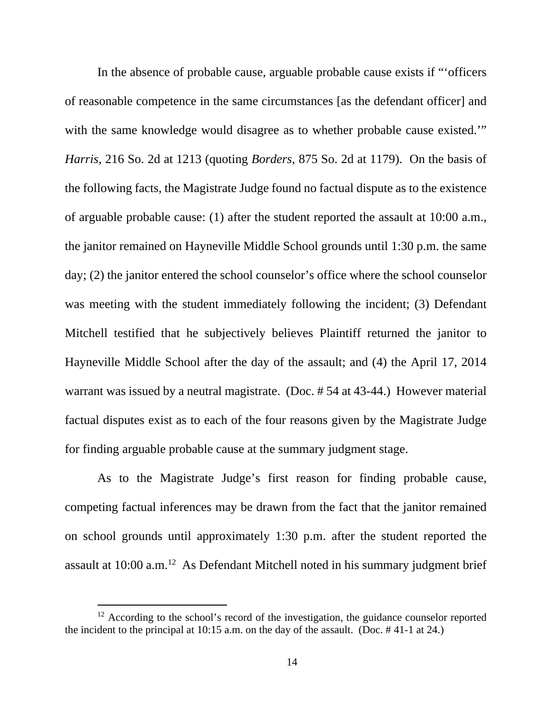In the absence of probable cause, arguable probable cause exists if "'officers of reasonable competence in the same circumstances [as the defendant officer] and with the same knowledge would disagree as to whether probable cause existed." *Harris*, 216 So. 2d at 1213 (quoting *Borders*, 875 So. 2d at 1179). On the basis of the following facts, the Magistrate Judge found no factual dispute as to the existence of arguable probable cause: (1) after the student reported the assault at 10:00 a.m., the janitor remained on Hayneville Middle School grounds until 1:30 p.m. the same day; (2) the janitor entered the school counselor's office where the school counselor was meeting with the student immediately following the incident; (3) Defendant Mitchell testified that he subjectively believes Plaintiff returned the janitor to Hayneville Middle School after the day of the assault; and (4) the April 17, 2014 warrant was issued by a neutral magistrate. (Doc. # 54 at 43-44.) However material factual disputes exist as to each of the four reasons given by the Magistrate Judge for finding arguable probable cause at the summary judgment stage.

 As to the Magistrate Judge's first reason for finding probable cause, competing factual inferences may be drawn from the fact that the janitor remained on school grounds until approximately 1:30 p.m. after the student reported the assault at  $10:00$  a.m.<sup>12</sup> As Defendant Mitchell noted in his summary judgment brief

<sup>&</sup>lt;sup>12</sup> According to the school's record of the investigation, the guidance counselor reported the incident to the principal at  $10:15$  a.m. on the day of the assault. (Doc.  $\#$  41-1 at 24.)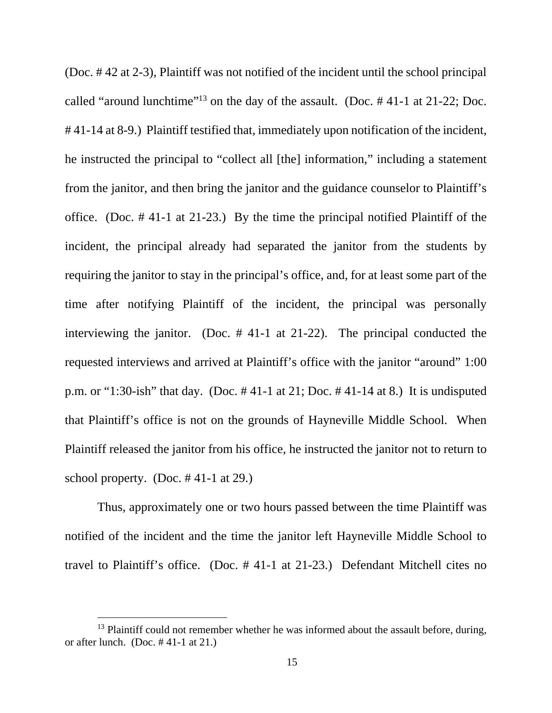(Doc. # 42 at 2-3), Plaintiff was not notified of the incident until the school principal called "around lunchtime"<sup>13</sup> on the day of the assault. (Doc. # 41-1 at 21-22; Doc. # 41-14 at 8-9.) Plaintiff testified that, immediately upon notification of the incident, he instructed the principal to "collect all [the] information," including a statement from the janitor, and then bring the janitor and the guidance counselor to Plaintiff's office. (Doc. # 41-1 at 21-23.) By the time the principal notified Plaintiff of the incident, the principal already had separated the janitor from the students by requiring the janitor to stay in the principal's office, and, for at least some part of the time after notifying Plaintiff of the incident, the principal was personally interviewing the janitor. (Doc. # 41-1 at 21-22). The principal conducted the requested interviews and arrived at Plaintiff's office with the janitor "around" 1:00 p.m. or "1:30-ish" that day. (Doc. # 41-1 at 21; Doc. # 41-14 at 8.) It is undisputed that Plaintiff's office is not on the grounds of Hayneville Middle School. When Plaintiff released the janitor from his office, he instructed the janitor not to return to school property. (Doc.  $\#$  41-1 at 29.)

 Thus, approximately one or two hours passed between the time Plaintiff was notified of the incident and the time the janitor left Hayneville Middle School to travel to Plaintiff's office. (Doc. # 41-1 at 21-23.) Defendant Mitchell cites no

 $13$  Plaintiff could not remember whether he was informed about the assault before, during, or after lunch. (Doc.  $\#$  41-1 at 21.)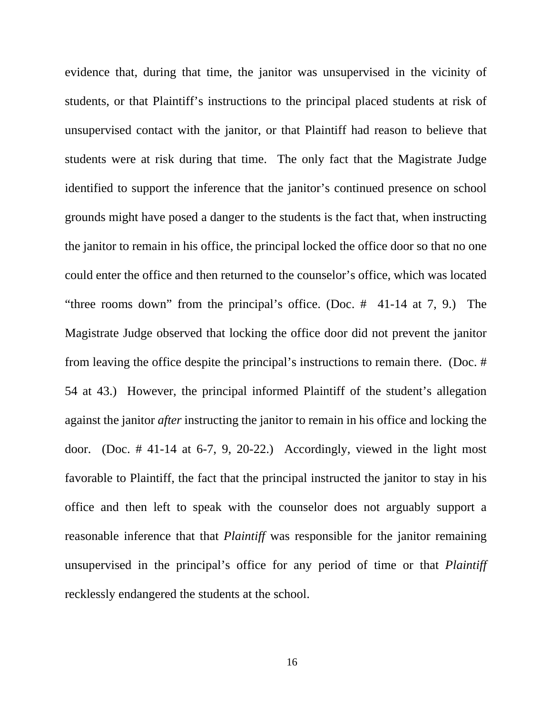evidence that, during that time, the janitor was unsupervised in the vicinity of students, or that Plaintiff's instructions to the principal placed students at risk of unsupervised contact with the janitor, or that Plaintiff had reason to believe that students were at risk during that time. The only fact that the Magistrate Judge identified to support the inference that the janitor's continued presence on school grounds might have posed a danger to the students is the fact that, when instructing the janitor to remain in his office, the principal locked the office door so that no one could enter the office and then returned to the counselor's office, which was located "three rooms down" from the principal's office. (Doc. # 41-14 at 7, 9.) The Magistrate Judge observed that locking the office door did not prevent the janitor from leaving the office despite the principal's instructions to remain there. (Doc. # 54 at 43.) However, the principal informed Plaintiff of the student's allegation against the janitor *after* instructing the janitor to remain in his office and locking the door. (Doc.  $\#$  41-14 at 6-7, 9, 20-22.) Accordingly, viewed in the light most favorable to Plaintiff, the fact that the principal instructed the janitor to stay in his office and then left to speak with the counselor does not arguably support a reasonable inference that that *Plaintiff* was responsible for the janitor remaining unsupervised in the principal's office for any period of time or that *Plaintiff* recklessly endangered the students at the school.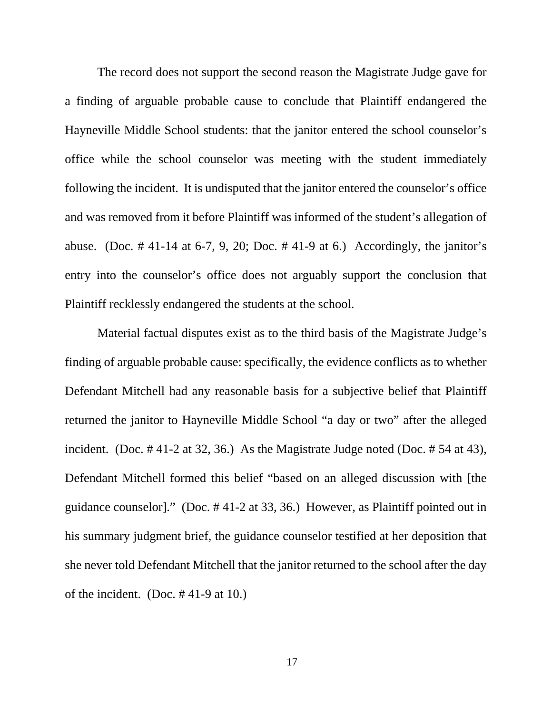The record does not support the second reason the Magistrate Judge gave for a finding of arguable probable cause to conclude that Plaintiff endangered the Hayneville Middle School students: that the janitor entered the school counselor's office while the school counselor was meeting with the student immediately following the incident. It is undisputed that the janitor entered the counselor's office and was removed from it before Plaintiff was informed of the student's allegation of abuse. (Doc. #41-14 at 6-7, 9, 20; Doc. #41-9 at 6.) Accordingly, the janitor's entry into the counselor's office does not arguably support the conclusion that Plaintiff recklessly endangered the students at the school.

 Material factual disputes exist as to the third basis of the Magistrate Judge's finding of arguable probable cause: specifically, the evidence conflicts as to whether Defendant Mitchell had any reasonable basis for a subjective belief that Plaintiff returned the janitor to Hayneville Middle School "a day or two" after the alleged incident. (Doc. # 41-2 at 32, 36.) As the Magistrate Judge noted (Doc. # 54 at 43), Defendant Mitchell formed this belief "based on an alleged discussion with [the guidance counselor]." (Doc. # 41-2 at 33, 36.) However, as Plaintiff pointed out in his summary judgment brief, the guidance counselor testified at her deposition that she never told Defendant Mitchell that the janitor returned to the school after the day of the incident. (Doc. # 41-9 at 10.)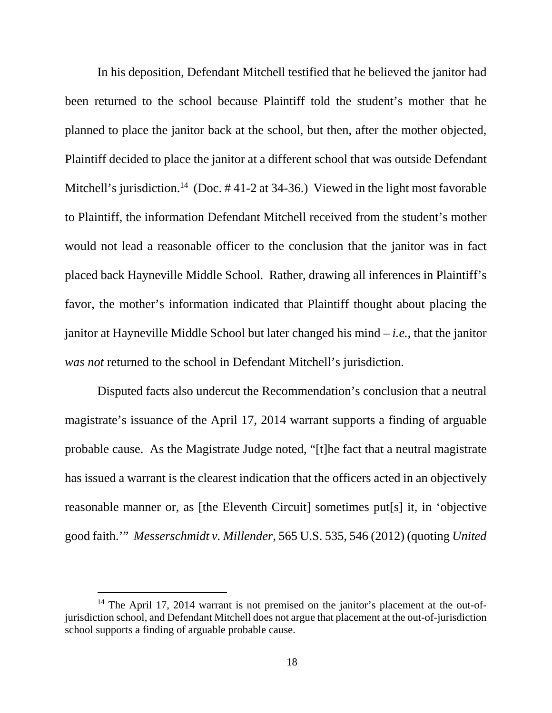In his deposition, Defendant Mitchell testified that he believed the janitor had been returned to the school because Plaintiff told the student's mother that he planned to place the janitor back at the school, but then, after the mother objected, Plaintiff decided to place the janitor at a different school that was outside Defendant Mitchell's jurisdiction.<sup>14</sup> (Doc.  $\#$  41-2 at 34-36.) Viewed in the light most favorable to Plaintiff, the information Defendant Mitchell received from the student's mother would not lead a reasonable officer to the conclusion that the janitor was in fact placed back Hayneville Middle School. Rather, drawing all inferences in Plaintiff's favor, the mother's information indicated that Plaintiff thought about placing the janitor at Hayneville Middle School but later changed his mind – *i.e.*, that the janitor *was not* returned to the school in Defendant Mitchell's jurisdiction.

 Disputed facts also undercut the Recommendation's conclusion that a neutral magistrate's issuance of the April 17, 2014 warrant supports a finding of arguable probable cause. As the Magistrate Judge noted, "[t]he fact that a neutral magistrate has issued a warrant is the clearest indication that the officers acted in an objectively reasonable manner or, as [the Eleventh Circuit] sometimes put[s] it, in 'objective good faith.'" *Messerschmidt v. Millender*, 565 U.S. 535, 546 (2012) (quoting *United* 

<sup>&</sup>lt;sup>14</sup> The April 17, 2014 warrant is not premised on the janitor's placement at the out-ofjurisdiction school, and Defendant Mitchell does not argue that placement at the out-of-jurisdiction school supports a finding of arguable probable cause.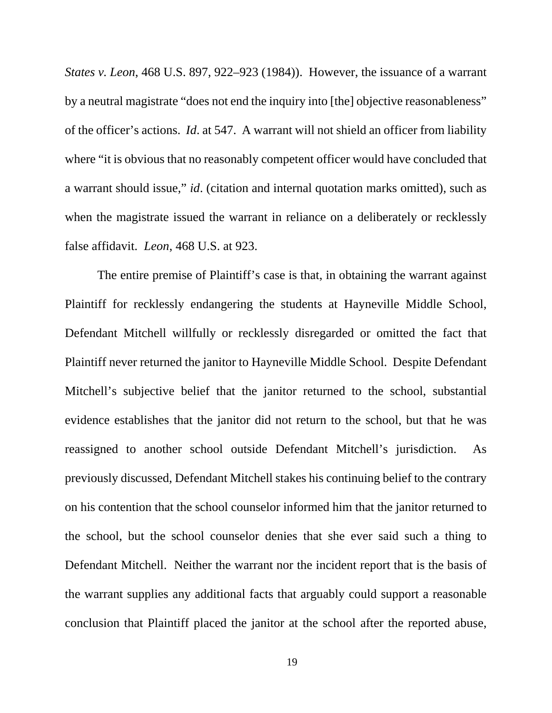*States v. Leon*, 468 U.S. 897, 922–923 (1984)). However, the issuance of a warrant by a neutral magistrate "does not end the inquiry into [the] objective reasonableness" of the officer's actions. *Id*. at 547. A warrant will not shield an officer from liability where "it is obvious that no reasonably competent officer would have concluded that a warrant should issue," *id*. (citation and internal quotation marks omitted), such as when the magistrate issued the warrant in reliance on a deliberately or recklessly false affidavit. *Leon*, 468 U.S. at 923.

 The entire premise of Plaintiff's case is that, in obtaining the warrant against Plaintiff for recklessly endangering the students at Hayneville Middle School, Defendant Mitchell willfully or recklessly disregarded or omitted the fact that Plaintiff never returned the janitor to Hayneville Middle School. Despite Defendant Mitchell's subjective belief that the janitor returned to the school, substantial evidence establishes that the janitor did not return to the school, but that he was reassigned to another school outside Defendant Mitchell's jurisdiction. As previously discussed, Defendant Mitchell stakes his continuing belief to the contrary on his contention that the school counselor informed him that the janitor returned to the school, but the school counselor denies that she ever said such a thing to Defendant Mitchell. Neither the warrant nor the incident report that is the basis of the warrant supplies any additional facts that arguably could support a reasonable conclusion that Plaintiff placed the janitor at the school after the reported abuse,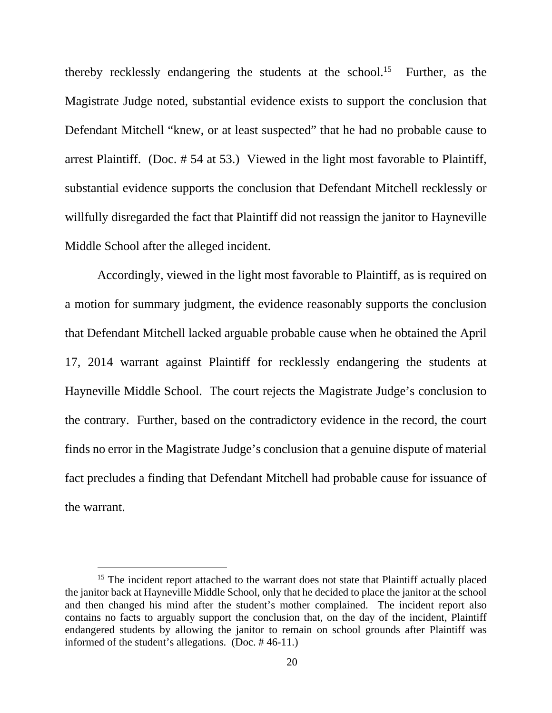thereby recklessly endangering the students at the school.<sup>15</sup> Further, as the Magistrate Judge noted, substantial evidence exists to support the conclusion that Defendant Mitchell "knew, or at least suspected" that he had no probable cause to arrest Plaintiff. (Doc. # 54 at 53.) Viewed in the light most favorable to Plaintiff, substantial evidence supports the conclusion that Defendant Mitchell recklessly or willfully disregarded the fact that Plaintiff did not reassign the janitor to Hayneville Middle School after the alleged incident.

 Accordingly, viewed in the light most favorable to Plaintiff, as is required on a motion for summary judgment, the evidence reasonably supports the conclusion that Defendant Mitchell lacked arguable probable cause when he obtained the April 17, 2014 warrant against Plaintiff for recklessly endangering the students at Hayneville Middle School. The court rejects the Magistrate Judge's conclusion to the contrary. Further, based on the contradictory evidence in the record, the court finds no error in the Magistrate Judge's conclusion that a genuine dispute of material fact precludes a finding that Defendant Mitchell had probable cause for issuance of the warrant.

<sup>&</sup>lt;sup>15</sup> The incident report attached to the warrant does not state that Plaintiff actually placed the janitor back at Hayneville Middle School, only that he decided to place the janitor at the school and then changed his mind after the student's mother complained. The incident report also contains no facts to arguably support the conclusion that, on the day of the incident, Plaintiff endangered students by allowing the janitor to remain on school grounds after Plaintiff was informed of the student's allegations. (Doc. # 46-11.)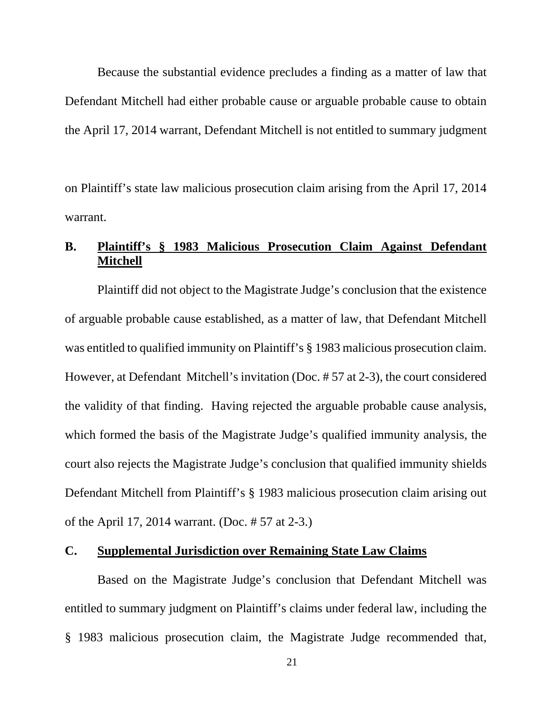Because the substantial evidence precludes a finding as a matter of law that Defendant Mitchell had either probable cause or arguable probable cause to obtain the April 17, 2014 warrant, Defendant Mitchell is not entitled to summary judgment

on Plaintiff's state law malicious prosecution claim arising from the April 17, 2014 warrant.

## **B. Plaintiff's § 1983 Malicious Prosecution Claim Against Defendant Mitchell**

 Plaintiff did not object to the Magistrate Judge's conclusion that the existence of arguable probable cause established, as a matter of law, that Defendant Mitchell was entitled to qualified immunity on Plaintiff's § 1983 malicious prosecution claim. However, at Defendant Mitchell's invitation (Doc. # 57 at 2-3), the court considered the validity of that finding. Having rejected the arguable probable cause analysis, which formed the basis of the Magistrate Judge's qualified immunity analysis, the court also rejects the Magistrate Judge's conclusion that qualified immunity shields Defendant Mitchell from Plaintiff's § 1983 malicious prosecution claim arising out of the April 17, 2014 warrant. (Doc. # 57 at 2-3.)

### **C. Supplemental Jurisdiction over Remaining State Law Claims**

 Based on the Magistrate Judge's conclusion that Defendant Mitchell was entitled to summary judgment on Plaintiff's claims under federal law, including the § 1983 malicious prosecution claim, the Magistrate Judge recommended that,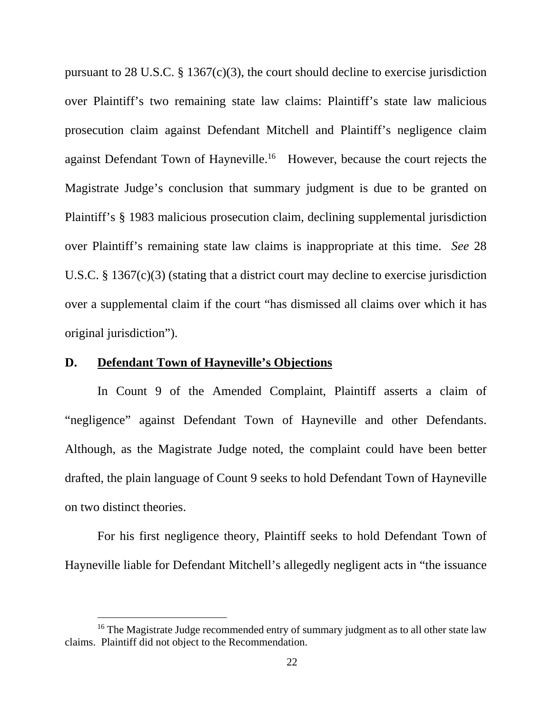pursuant to 28 U.S.C.  $\S$  1367(c)(3), the court should decline to exercise jurisdiction over Plaintiff's two remaining state law claims: Plaintiff's state law malicious prosecution claim against Defendant Mitchell and Plaintiff's negligence claim against Defendant Town of Hayneville.<sup>16</sup> However, because the court rejects the Magistrate Judge's conclusion that summary judgment is due to be granted on Plaintiff's § 1983 malicious prosecution claim, declining supplemental jurisdiction over Plaintiff's remaining state law claims is inappropriate at this time. *See* 28 U.S.C. § 1367(c)(3) (stating that a district court may decline to exercise jurisdiction over a supplemental claim if the court "has dismissed all claims over which it has original jurisdiction").

## **D. Defendant Town of Hayneville's Objections**

 $\overline{a}$ 

 In Count 9 of the Amended Complaint, Plaintiff asserts a claim of "negligence" against Defendant Town of Hayneville and other Defendants. Although, as the Magistrate Judge noted, the complaint could have been better drafted, the plain language of Count 9 seeks to hold Defendant Town of Hayneville on two distinct theories.

 For his first negligence theory, Plaintiff seeks to hold Defendant Town of Hayneville liable for Defendant Mitchell's allegedly negligent acts in "the issuance

<sup>&</sup>lt;sup>16</sup> The Magistrate Judge recommended entry of summary judgment as to all other state law claims. Plaintiff did not object to the Recommendation.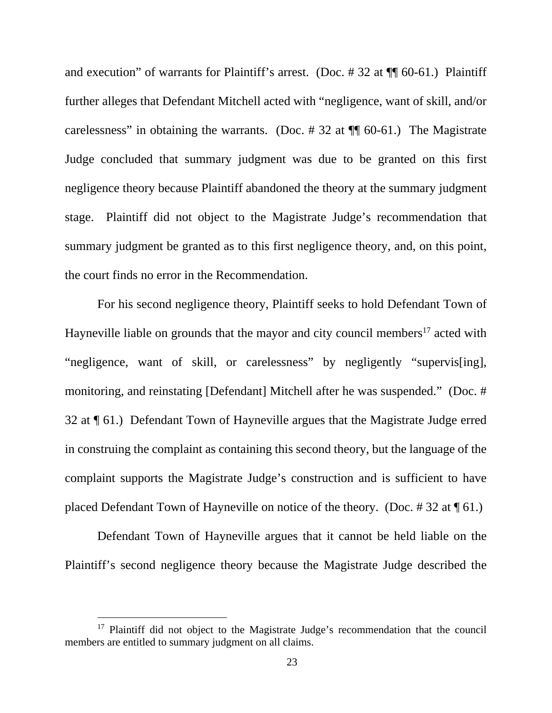and execution" of warrants for Plaintiff's arrest. (Doc. # 32 at ¶¶ 60-61.) Plaintiff further alleges that Defendant Mitchell acted with "negligence, want of skill, and/or carelessness" in obtaining the warrants. (Doc.  $\#$  32 at  $\P\P$  60-61.) The Magistrate Judge concluded that summary judgment was due to be granted on this first negligence theory because Plaintiff abandoned the theory at the summary judgment stage. Plaintiff did not object to the Magistrate Judge's recommendation that summary judgment be granted as to this first negligence theory, and, on this point, the court finds no error in the Recommendation.

 For his second negligence theory, Plaintiff seeks to hold Defendant Town of Hayneville liable on grounds that the mayor and city council members<sup>17</sup> acted with "negligence, want of skill, or carelessness" by negligently "supervis[ing], monitoring, and reinstating [Defendant] Mitchell after he was suspended." (Doc. # 32 at ¶ 61.) Defendant Town of Hayneville argues that the Magistrate Judge erred in construing the complaint as containing this second theory, but the language of the complaint supports the Magistrate Judge's construction and is sufficient to have placed Defendant Town of Hayneville on notice of the theory. (Doc. # 32 at ¶ 61.)

 Defendant Town of Hayneville argues that it cannot be held liable on the Plaintiff's second negligence theory because the Magistrate Judge described the

<sup>&</sup>lt;sup>17</sup> Plaintiff did not object to the Magistrate Judge's recommendation that the council members are entitled to summary judgment on all claims.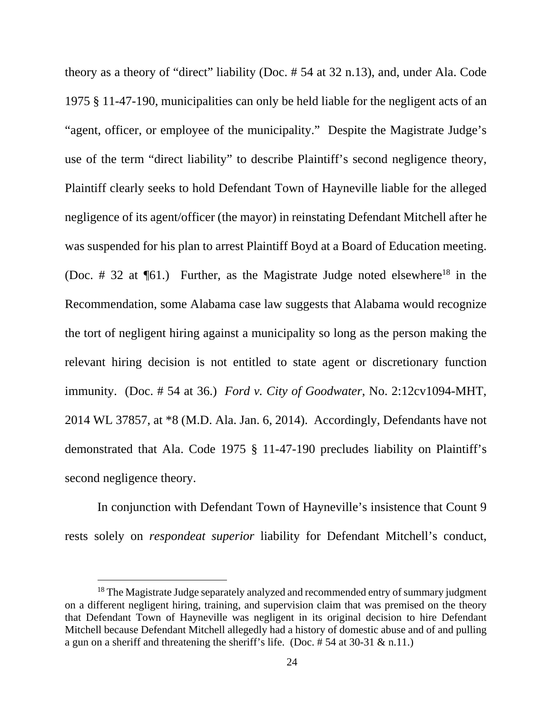theory as a theory of "direct" liability (Doc. # 54 at 32 n.13), and, under Ala. Code 1975 § 11-47-190, municipalities can only be held liable for the negligent acts of an "agent, officer, or employee of the municipality." Despite the Magistrate Judge's use of the term "direct liability" to describe Plaintiff's second negligence theory, Plaintiff clearly seeks to hold Defendant Town of Hayneville liable for the alleged negligence of its agent/officer (the mayor) in reinstating Defendant Mitchell after he was suspended for his plan to arrest Plaintiff Boyd at a Board of Education meeting. (Doc. # 32 at  $\P_61$ .) Further, as the Magistrate Judge noted elsewhere<sup>18</sup> in the Recommendation, some Alabama case law suggests that Alabama would recognize the tort of negligent hiring against a municipality so long as the person making the relevant hiring decision is not entitled to state agent or discretionary function immunity. (Doc. # 54 at 36.) *Ford v. City of Goodwater*, No. 2:12cv1094-MHT, 2014 WL 37857, at \*8 (M.D. Ala. Jan. 6, 2014). Accordingly, Defendants have not demonstrated that Ala. Code 1975 § 11-47-190 precludes liability on Plaintiff's second negligence theory.

 In conjunction with Defendant Town of Hayneville's insistence that Count 9 rests solely on *respondeat superior* liability for Defendant Mitchell's conduct,

<sup>&</sup>lt;sup>18</sup> The Magistrate Judge separately analyzed and recommended entry of summary judgment on a different negligent hiring, training, and supervision claim that was premised on the theory that Defendant Town of Hayneville was negligent in its original decision to hire Defendant Mitchell because Defendant Mitchell allegedly had a history of domestic abuse and of and pulling a gun on a sheriff and threatening the sheriff's life. (Doc. # 54 at 30-31 & n.11.)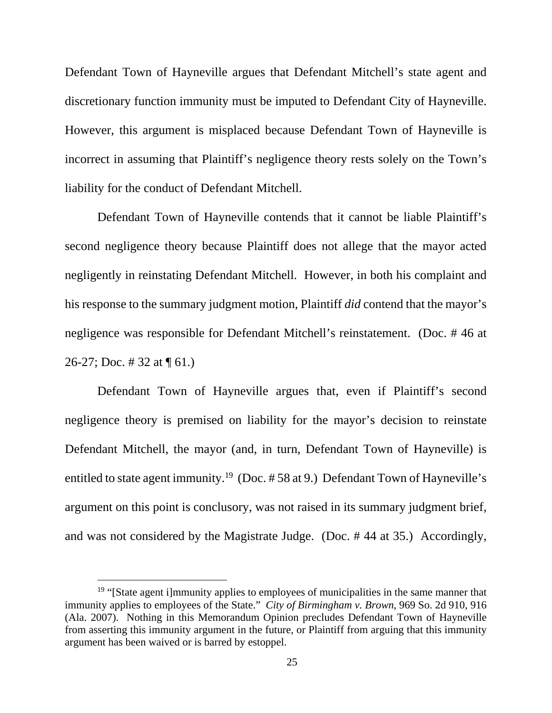Defendant Town of Hayneville argues that Defendant Mitchell's state agent and discretionary function immunity must be imputed to Defendant City of Hayneville. However, this argument is misplaced because Defendant Town of Hayneville is incorrect in assuming that Plaintiff's negligence theory rests solely on the Town's liability for the conduct of Defendant Mitchell.

 Defendant Town of Hayneville contends that it cannot be liable Plaintiff's second negligence theory because Plaintiff does not allege that the mayor acted negligently in reinstating Defendant Mitchell. However, in both his complaint and his response to the summary judgment motion, Plaintiff *did* contend that the mayor's negligence was responsible for Defendant Mitchell's reinstatement. (Doc. # 46 at 26-27; Doc. # 32 at  $\P$  61.)

 Defendant Town of Hayneville argues that, even if Plaintiff's second negligence theory is premised on liability for the mayor's decision to reinstate Defendant Mitchell, the mayor (and, in turn, Defendant Town of Hayneville) is entitled to state agent immunity.<sup>19</sup> (Doc. #58 at 9.) Defendant Town of Hayneville's argument on this point is conclusory, was not raised in its summary judgment brief, and was not considered by the Magistrate Judge. (Doc. # 44 at 35.) Accordingly,

<sup>&</sup>lt;sup>19</sup> "[State agent i]mmunity applies to employees of municipalities in the same manner that immunity applies to employees of the State." *City of Birmingham v. Brown*, 969 So. 2d 910, 916 (Ala. 2007). Nothing in this Memorandum Opinion precludes Defendant Town of Hayneville from asserting this immunity argument in the future, or Plaintiff from arguing that this immunity argument has been waived or is barred by estoppel.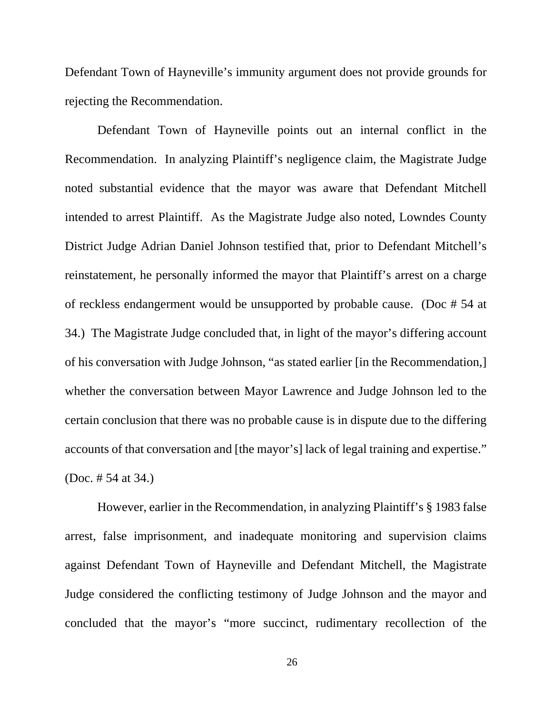Defendant Town of Hayneville's immunity argument does not provide grounds for rejecting the Recommendation.

 Defendant Town of Hayneville points out an internal conflict in the Recommendation. In analyzing Plaintiff's negligence claim, the Magistrate Judge noted substantial evidence that the mayor was aware that Defendant Mitchell intended to arrest Plaintiff. As the Magistrate Judge also noted, Lowndes County District Judge Adrian Daniel Johnson testified that, prior to Defendant Mitchell's reinstatement, he personally informed the mayor that Plaintiff's arrest on a charge of reckless endangerment would be unsupported by probable cause. (Doc # 54 at 34.) The Magistrate Judge concluded that, in light of the mayor's differing account of his conversation with Judge Johnson, "as stated earlier [in the Recommendation,] whether the conversation between Mayor Lawrence and Judge Johnson led to the certain conclusion that there was no probable cause is in dispute due to the differing accounts of that conversation and [the mayor's] lack of legal training and expertise." (Doc. # 54 at 34.)

 However, earlier in the Recommendation, in analyzing Plaintiff's § 1983 false arrest, false imprisonment, and inadequate monitoring and supervision claims against Defendant Town of Hayneville and Defendant Mitchell, the Magistrate Judge considered the conflicting testimony of Judge Johnson and the mayor and concluded that the mayor's "more succinct, rudimentary recollection of the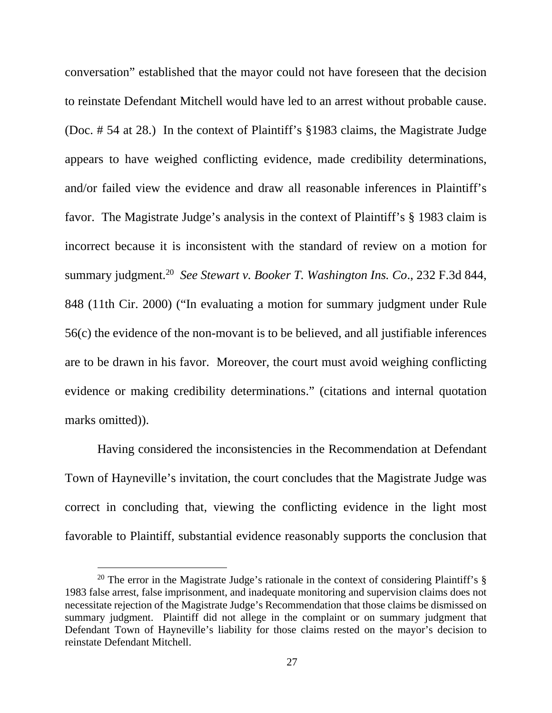conversation" established that the mayor could not have foreseen that the decision to reinstate Defendant Mitchell would have led to an arrest without probable cause. (Doc. # 54 at 28.) In the context of Plaintiff's §1983 claims, the Magistrate Judge appears to have weighed conflicting evidence, made credibility determinations, and/or failed view the evidence and draw all reasonable inferences in Plaintiff's favor. The Magistrate Judge's analysis in the context of Plaintiff's § 1983 claim is incorrect because it is inconsistent with the standard of review on a motion for summary judgment.<sup>20</sup> *See Stewart v. Booker T. Washington Ins. Co*., 232 F.3d 844, 848 (11th Cir. 2000) ("In evaluating a motion for summary judgment under Rule 56(c) the evidence of the non-movant is to be believed, and all justifiable inferences are to be drawn in his favor. Moreover, the court must avoid weighing conflicting evidence or making credibility determinations." (citations and internal quotation marks omitted)).

 Having considered the inconsistencies in the Recommendation at Defendant Town of Hayneville's invitation, the court concludes that the Magistrate Judge was correct in concluding that, viewing the conflicting evidence in the light most favorable to Plaintiff, substantial evidence reasonably supports the conclusion that

<sup>&</sup>lt;sup>20</sup> The error in the Magistrate Judge's rationale in the context of considering Plaintiff's  $\S$ 1983 false arrest, false imprisonment, and inadequate monitoring and supervision claims does not necessitate rejection of the Magistrate Judge's Recommendation that those claims be dismissed on summary judgment. Plaintiff did not allege in the complaint or on summary judgment that Defendant Town of Hayneville's liability for those claims rested on the mayor's decision to reinstate Defendant Mitchell.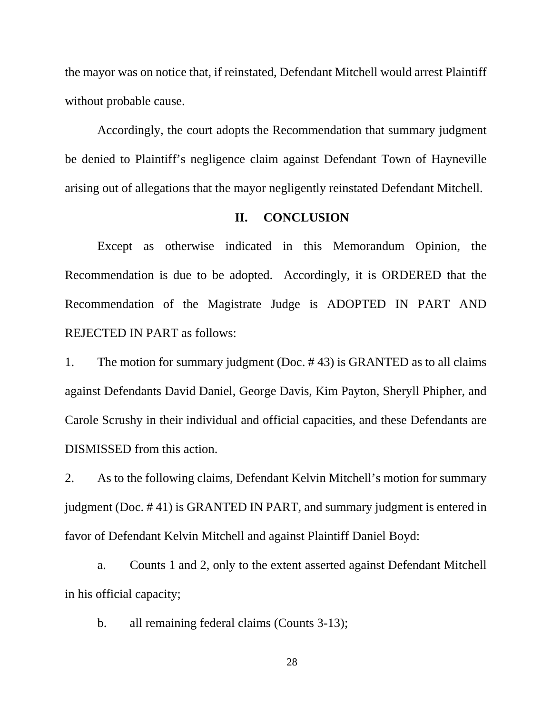the mayor was on notice that, if reinstated, Defendant Mitchell would arrest Plaintiff without probable cause.

 Accordingly, the court adopts the Recommendation that summary judgment be denied to Plaintiff's negligence claim against Defendant Town of Hayneville arising out of allegations that the mayor negligently reinstated Defendant Mitchell.

#### **II. CONCLUSION**

 Except as otherwise indicated in this Memorandum Opinion, the Recommendation is due to be adopted. Accordingly, it is ORDERED that the Recommendation of the Magistrate Judge is ADOPTED IN PART AND REJECTED IN PART as follows:

1. The motion for summary judgment (Doc. # 43) is GRANTED as to all claims against Defendants David Daniel, George Davis, Kim Payton, Sheryll Phipher, and Carole Scrushy in their individual and official capacities, and these Defendants are DISMISSED from this action.

2. As to the following claims, Defendant Kelvin Mitchell's motion for summary judgment (Doc. # 41) is GRANTED IN PART, and summary judgment is entered in favor of Defendant Kelvin Mitchell and against Plaintiff Daniel Boyd:

 a. Counts 1 and 2, only to the extent asserted against Defendant Mitchell in his official capacity;

b. all remaining federal claims (Counts 3-13);

28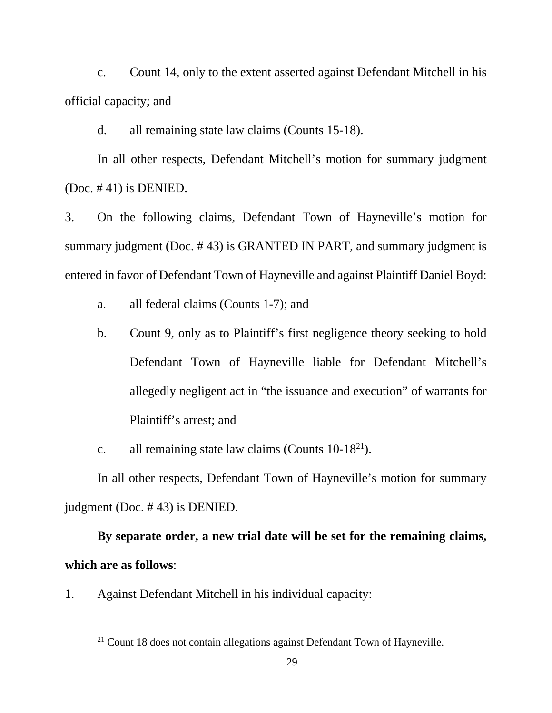c. Count 14, only to the extent asserted against Defendant Mitchell in his official capacity; and

d. all remaining state law claims (Counts 15-18).

 In all other respects, Defendant Mitchell's motion for summary judgment (Doc. # 41) is DENIED.

3. On the following claims, Defendant Town of Hayneville's motion for summary judgment (Doc. # 43) is GRANTED IN PART, and summary judgment is entered in favor of Defendant Town of Hayneville and against Plaintiff Daniel Boyd:

- a. all federal claims (Counts 1-7); and
- b. Count 9, only as to Plaintiff's first negligence theory seeking to hold Defendant Town of Hayneville liable for Defendant Mitchell's allegedly negligent act in "the issuance and execution" of warrants for Plaintiff's arrest; and
- c. all remaining state law claims (Counts  $10-18^{21}$ ).

 In all other respects, Defendant Town of Hayneville's motion for summary judgment (Doc. # 43) is DENIED.

# **By separate order, a new trial date will be set for the remaining claims, which are as follows**:

1. Against Defendant Mitchell in his individual capacity:

 $21$  Count 18 does not contain allegations against Defendant Town of Hayneville.